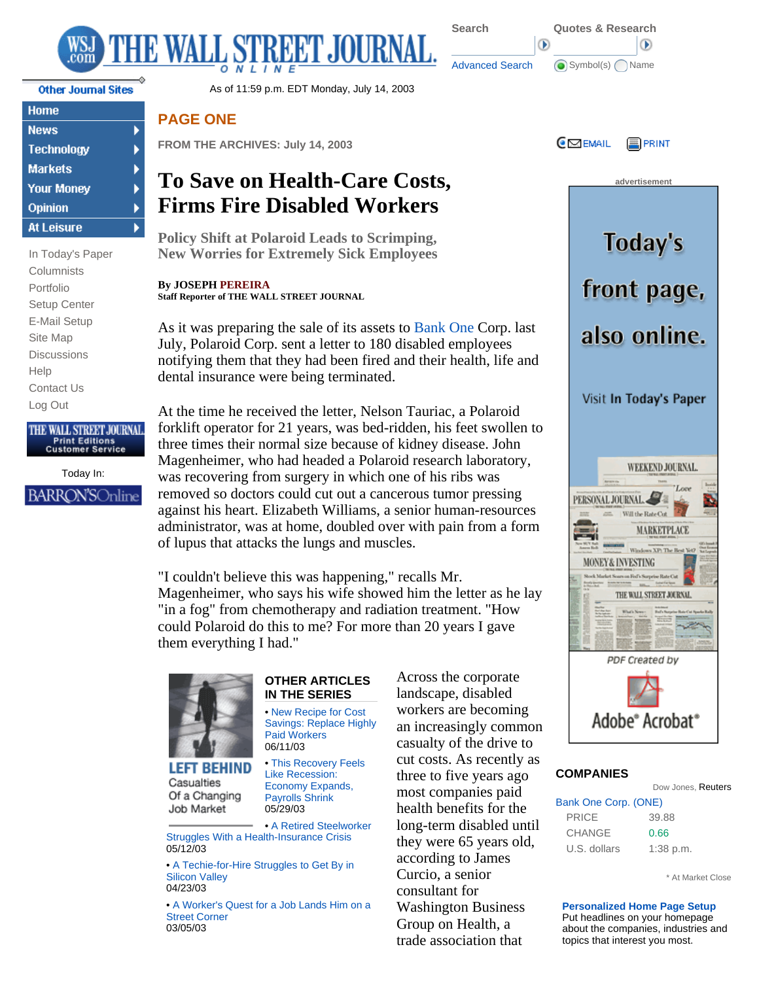

▶

b

k k

| <b>Home</b>       |
|-------------------|
| <b>News</b>       |
| Technology        |
| <b>Markets</b>    |
| <b>Your Money</b> |
| Opinion           |
| <b>At Leisure</b> |

In Today's Paper **Columnists** Portfolio Setup Center E-Mail Setup Site Map **Discussions** Help Contact Us Log Out

## THE WALL STREET JOURNAL. **Print Editions**<br>Customer Service

Today In: **BARRON'SOnline** 

Other Journal Sites **As of 11:59 p.m. EDT Monday, July 14, 2003** 

## **PAGE ONE**

**FROM THE ARCHIVES: July 14, 2003**

# **To Save on Health-Care Costs, Firms Fire Disabled Workers**

**Policy Shift at Polaroid Leads to Scrimping, New Worries for Extremely Sick Employees** 

**By JOSEPH PEREIRA Staff Reporter of THE WALL STREET JOURNAL**

As it was preparing the sale of its assets to Bank One Corp. last July, Polaroid Corp. sent a letter to 180 disabled employees notifying them that they had been fired and their health, life and dental insurance were being terminated.

At the time he received the letter, Nelson Tauriac, a Polaroid forklift operator for 21 years, was bed-ridden, his feet swollen to three times their normal size because of kidney disease. John Magenheimer, who had headed a Polaroid research laboratory, was recovering from surgery in which one of his ribs was removed so doctors could cut out a cancerous tumor pressing against his heart. Elizabeth Williams, a senior human-resources administrator, was at home, doubled over with pain from a form of lupus that attacks the lungs and muscles.

"I couldn't believe this was happening," recalls Mr. Magenheimer, who says his wife showed him the letter as he lay "in a fog" from chemotherapy and radiation treatment. "How could Polaroid do this to me? For more than 20 years I gave them everything I had."



**LEFT BEHIND** Casualties Of a Changing Job Market

#### **OTHER ARTICLES IN THE SERIES**

• New Recipe for Cost Savings: Replace Highly Paid Workers 06/11/03

 • This Recovery Feels Like Recession: Economy Expands, Payrolls Shrink 05/29/03

• A Retired Steelworker Struggles With a Health-Insurance Crisis 05/12/03

• A Techie-for-Hire Struggles to Get By in Silicon Valley 04/23/03

 • A Worker's Quest for a Job Lands Him on a Street Corner 03/05/03

Across the corporate landscape, disabled workers are becoming an increasingly common casualty of the drive to cut costs. As recently as three to five years ago most companies paid health benefits for the long-term disabled until they were 65 years old, according to James Curcio, a senior consultant for Washington Business Group on Health, a trade association that



∩

 Advanced Search **G** Symbol(s) Name

Œ



### **COMPANIES**

Dow Jones, Reuters

| Bank One Corp. (ONE) |             |
|----------------------|-------------|
| <b>PRICE</b>         | 39.88       |
| <b>CHANGE</b>        | 0.66        |
| U.S. dollars         | $1:38$ p.m. |

\* At Market Close

**Personalized Home Page Setup** Put headlines on your homepage about the companies, industries and topics that interest you most.

**Search Quotes & Research**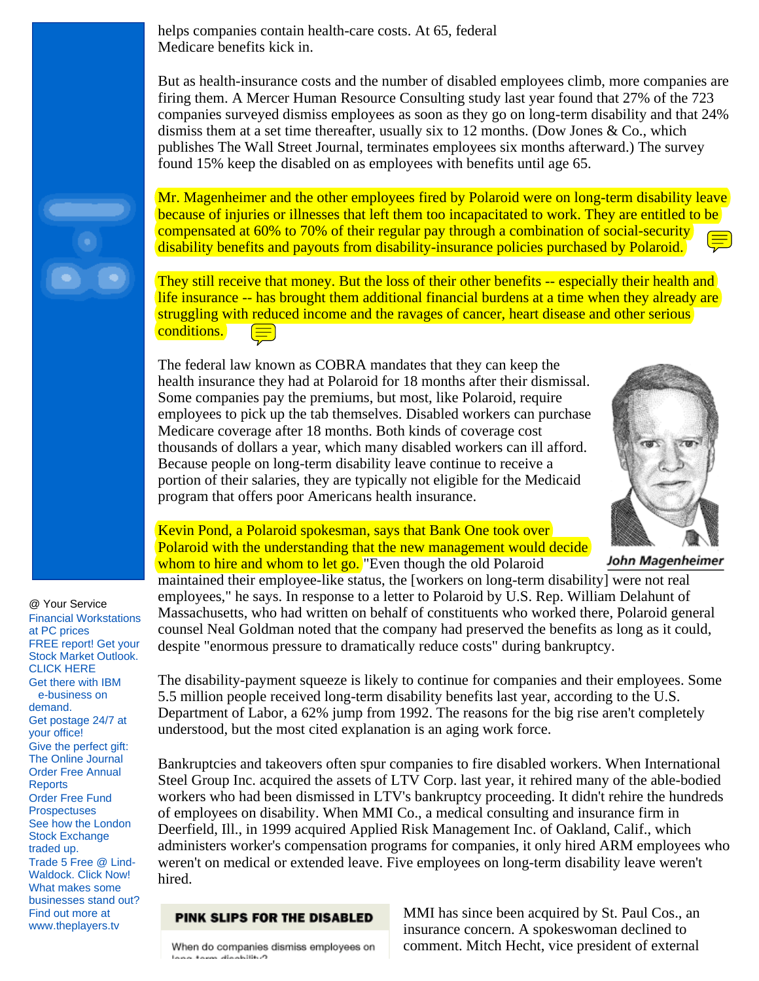helps companies contain health-care costs. At 65, federal Medicare benefits kick in.

But as health-insurance costs and the number of disabled employees climb, more companies are firing them. A Mercer Human Resource Consulting study last year found that 27% of the 723 companies surveyed dismiss employees as soon as they go on long-term disability and that 24% dismiss them at a set time thereafter, usually six to 12 months. (Dow Jones  $& Co.,$  which publishes The Wall Street Journal, terminates employees six months afterward.) The survey found 15% keep the disabled on as employees with benefits until age 65.



They still receive that money. But the loss of their other benefits -- especially their health and life insurance -- has brought them additional financial burdens at a time when they already are struggling with reduced income and the ravages of cancer, heart disease and other serious conditions.

The federal law known as COBRA mandates that they can keep the health insurance they had at Polaroid for 18 months after their dismissal. Some companies pay the premiums, but most, like Polaroid, require employees to pick up the tab themselves. Disabled workers can purchase Medicare coverage after 18 months. Both kinds of coverage cost thousands of dollars a year, which many disabled workers can ill afford. Because people on long-term disability leave continue to receive a portion of their salaries, they are typically not eligible for the Medicaid program that offers poor Americans health insurance.



John Magenheimer

## Kevin Pond, a Polaroid spokesman, says that Bank One took over Polaroid with the understanding that the new management would decide whom to hire and whom to let go. "Even though the old Polaroid

maintained their employee-like status, the [workers on long-term disability] were not real employees," he says. In response to a letter to Polaroid by U.S. Rep. William Delahunt of Massachusetts, who had written on behalf of constituents who worked there, Polaroid general counsel Neal Goldman noted that the company had preserved the benefits as long as it could, despite "enormous pressure to dramatically reduce costs" during bankruptcy.

The disability-payment squeeze is likely to continue for companies and their employees. Some 5.5 million people received long-term disability benefits last year, according to the U.S. Department of Labor, a 62% jump from 1992. The reasons for the big rise aren't completely understood, but the most cited explanation is an aging work force.

Bankruptcies and takeovers often spur companies to fire disabled workers. When International Steel Group Inc. acquired the assets of LTV Corp. last year, it rehired many of the able-bodied workers who had been dismissed in LTV's bankruptcy proceeding. It didn't rehire the hundreds of employees on disability. When MMI Co., a medical consulting and insurance firm in Deerfield, Ill., in 1999 acquired Applied Risk Management Inc. of Oakland, Calif., which administers worker's compensation programs for companies, it only hired ARM employees who weren't on medical or extended leave. Five employees on long-term disability leave weren't hired.

#### PINK SLIPS FOR THE DISABLED

When do companies dismiss employees on فيطالطوماه ومعوف وموا

MMI has since been acquired by St. Paul Cos., an insurance concern. A spokeswoman declined to comment. Mitch Hecht, vice president of external

Financial Workstations at PC prices FREE report! Get your Stock Market Outlook. CLICK HERE Get there with IBM e-business on demand. Get postage 24/7 at your office! Give the perfect gift: The Online Journal Order Free Annual **Reports** Order Free Fund **Prospectuses** See how the London Stock Exchange traded up. Trade 5 Free @ Lind-Waldock. Click Now! What makes some businesses stand out? Find out more at www.theplayers.tv

@ Your Service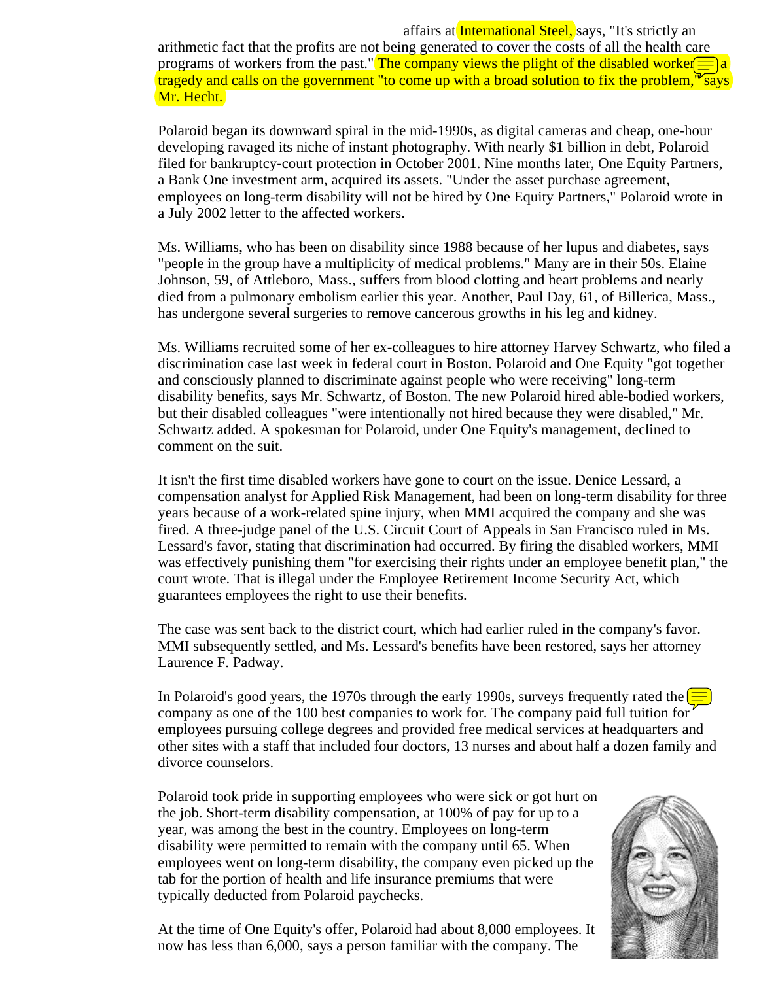affairs at International Steel, says, "It's strictly an arithmetic fact that the profits are not being generated to cover the costs of all the health care programs of workers from the past." The company views the plight of the disabled worker  $\equiv$  a tragedy and calls on the government "to come up with a broad solution to fix the problem,  $\sqrt{\sigma_{\text{Says}}}\$ Mr. Hecht.

Polaroid began its downward spiral in the mid-1990s, as digital cameras and cheap, one-hour developing ravaged its niche of instant photography. With nearly \$1 billion in debt, Polaroid filed for bankruptcy-court protection in October 2001. Nine months later, One Equity Partners, a Bank One investment arm, acquired its assets. "Under the asset purchase agreement, employees on long-term disability will not be hired by One Equity Partners," Polaroid wrote in a July 2002 letter to the affected workers.

Ms. Williams, who has been on disability since 1988 because of her lupus and diabetes, says "people in the group have a multiplicity of medical problems." Many are in their 50s. Elaine Johnson, 59, of Attleboro, Mass., suffers from blood clotting and heart problems and nearly died from a pulmonary embolism earlier this year. Another, Paul Day, 61, of Billerica, Mass., has undergone several surgeries to remove cancerous growths in his leg and kidney.

Ms. Williams recruited some of her ex-colleagues to hire attorney Harvey Schwartz, who filed a discrimination case last week in federal court in Boston. Polaroid and One Equity "got together and consciously planned to discriminate against people who were receiving" long-term disability benefits, says Mr. Schwartz, of Boston. The new Polaroid hired able-bodied workers, but their disabled colleagues "were intentionally not hired because they were disabled," Mr. Schwartz added. A spokesman for Polaroid, under One Equity's management, declined to comment on the suit.

It isn't the first time disabled workers have gone to court on the issue. Denice Lessard, a compensation analyst for Applied Risk Management, had been on long-term disability for three years because of a work-related spine injury, when MMI acquired the company and she was fired. A three-judge panel of the U.S. Circuit Court of Appeals in San Francisco ruled in Ms. Lessard's favor, stating that discrimination had occurred. By firing the disabled workers, MMI was effectively punishing them "for exercising their rights under an employee benefit plan," the court wrote. That is illegal under the Employee Retirement Income Security Act, which guarantees employees the right to use their benefits.

The case was sent back to the district court, which had earlier ruled in the company's favor. MMI subsequently settled, and Ms. Lessard's benefits have been restored, says her attorney Laurence F. Padway.

In Polaroid's good years, the 1970s through the early 1990s, surveys frequently rated the company as one of the 100 best companies to work for. The company paid full tuition for employees pursuing college degrees and provided free medical services at headquarters and other sites with a staff that included four doctors, 13 nurses and about half a dozen family and divorce counselors.

Polaroid took pride in supporting employees who were sick or got hurt on the job. Short-term disability compensation, at 100% of pay for up to a year, was among the best in the country. Employees on long-term disability were permitted to remain with the company until 65. When employees went on long-term disability, the company even picked up the tab for the portion of health and life insurance premiums that were typically deducted from Polaroid paychecks.

At the time of One Equity's offer, Polaroid had about 8,000 employees. It now has less than 6,000, says a person familiar with the company. The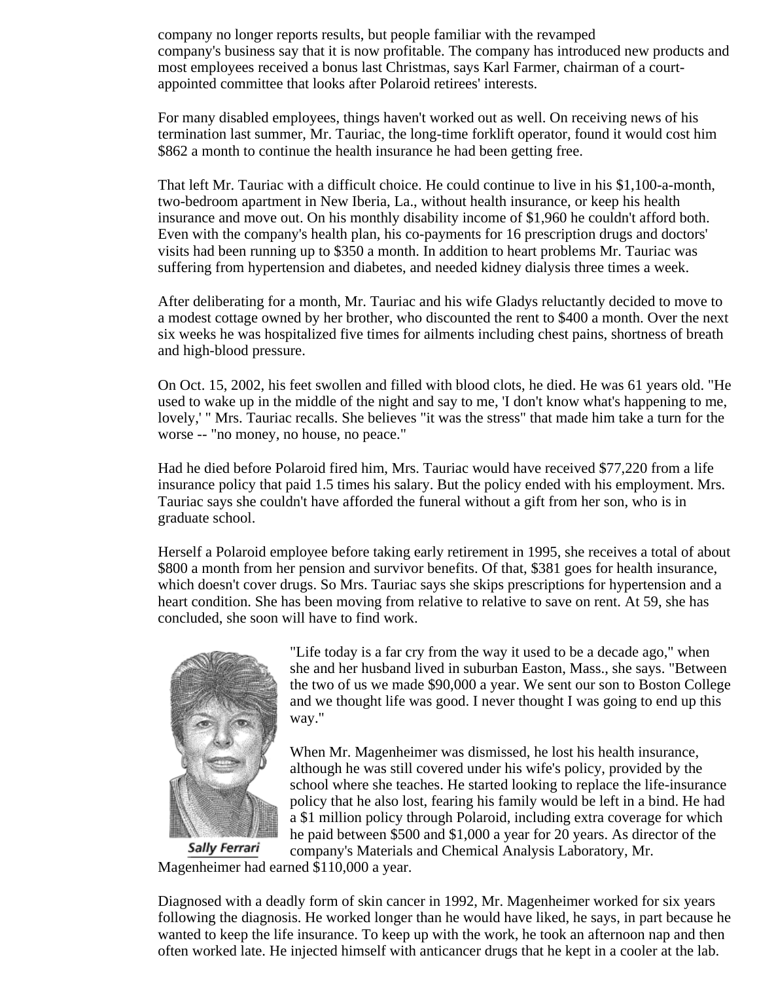company no longer reports results, but people familiar with the revamped company's business say that it is now profitable. The company has introduced new products and most employees received a bonus last Christmas, says Karl Farmer, chairman of a courtappointed committee that looks after Polaroid retirees' interests.

For many disabled employees, things haven't worked out as well. On receiving news of his termination last summer, Mr. Tauriac, the long-time forklift operator, found it would cost him \$862 a month to continue the health insurance he had been getting free.

That left Mr. Tauriac with a difficult choice. He could continue to live in his \$1,100-a-month, two-bedroom apartment in New Iberia, La., without health insurance, or keep his health insurance and move out. On his monthly disability income of \$1,960 he couldn't afford both. Even with the company's health plan, his co-payments for 16 prescription drugs and doctors' visits had been running up to \$350 a month. In addition to heart problems Mr. Tauriac was suffering from hypertension and diabetes, and needed kidney dialysis three times a week.

After deliberating for a month, Mr. Tauriac and his wife Gladys reluctantly decided to move to a modest cottage owned by her brother, who discounted the rent to \$400 a month. Over the next six weeks he was hospitalized five times for ailments including chest pains, shortness of breath and high-blood pressure.

On Oct. 15, 2002, his feet swollen and filled with blood clots, he died. He was 61 years old. "He used to wake up in the middle of the night and say to me, 'I don't know what's happening to me, lovely,' " Mrs. Tauriac recalls. She believes "it was the stress" that made him take a turn for the worse -- "no money, no house, no peace."

Had he died before Polaroid fired him, Mrs. Tauriac would have received \$77,220 from a life insurance policy that paid 1.5 times his salary. But the policy ended with his employment. Mrs. Tauriac says she couldn't have afforded the funeral without a gift from her son, who is in graduate school.

Herself a Polaroid employee before taking early retirement in 1995, she receives a total of about \$800 a month from her pension and survivor benefits. Of that, \$381 goes for health insurance, which doesn't cover drugs. So Mrs. Tauriac says she skips prescriptions for hypertension and a heart condition. She has been moving from relative to relative to save on rent. At 59, she has concluded, she soon will have to find work.



"Life today is a far cry from the way it used to be a decade ago," when she and her husband lived in suburban Easton, Mass., she says. "Between the two of us we made \$90,000 a year. We sent our son to Boston College and we thought life was good. I never thought I was going to end up this way."

When Mr. Magenheimer was dismissed, he lost his health insurance, although he was still covered under his wife's policy, provided by the school where she teaches. He started looking to replace the life-insurance policy that he also lost, fearing his family would be left in a bind. He had a \$1 million policy through Polaroid, including extra coverage for which he paid between \$500 and \$1,000 a year for 20 years. As director of the company's Materials and Chemical Analysis Laboratory, Mr.

Magenheimer had earned \$110,000 a year.

Diagnosed with a deadly form of skin cancer in 1992, Mr. Magenheimer worked for six years following the diagnosis. He worked longer than he would have liked, he says, in part because he wanted to keep the life insurance. To keep up with the work, he took an afternoon nap and then often worked late. He injected himself with anticancer drugs that he kept in a cooler at the lab.